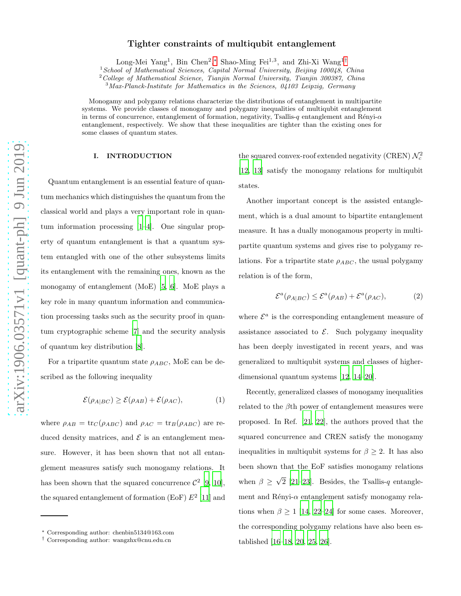# Tighter constraints of multiqubit entanglement

Long-Mei Yang<sup>1</sup>, Bin Chen<sup>2</sup>,\* Shao-Ming Fei<sup>1,3</sup>, and Zhi-Xi Wang<sup>1[†](#page-0-1)</sup>

<sup>1</sup> School of Mathematical Sciences, Capital Normal University, Beijing 100048, China

 $2^2$ College of Mathematical Science, Tianjin Normal University, Tianjin 300387, China

 $3$ Max-Planck-Institute for Mathematics in the Sciences, 04103 Leipzig, Germany

Monogamy and polygamy relations characterize the distributions of entanglement in multipartite systems. We provide classes of monogamy and polygamy inequalities of multiqubit entanglement in terms of concurrence, entanglement of formation, negativity, Tsallis-q entanglement and Rényi- $\alpha$ entanglement, respectively. We show that these inequalities are tighter than the existing ones for some classes of quantum states.

#### I. INTRODUCTION

Quantum entanglement is an essential feature of quantum mechanics which distinguishes the quantum from the classical world and plays a very important role in quantum information processing [\[1](#page-11-0)[–4](#page-11-1)]. One singular property of quantum entanglement is that a quantum system entangled with one of the other subsystems limits its entanglement with the remaining ones, known as the monogamy of entanglement (MoE) [\[5](#page-12-0), [6](#page-12-1)]. MoE plays a key role in many quantum information and communication processing tasks such as the security proof in quantum cryptographic scheme [\[7](#page-12-2)] and the security analysis of quantum key distribution [\[8\]](#page-12-3).

For a tripartite quantum state  $\rho_{ABC}$ , MoE can be described as the following inequality

$$
\mathcal{E}(\rho_{A|BC}) \ge \mathcal{E}(\rho_{AB}) + \mathcal{E}(\rho_{AC}),\tag{1}
$$

where  $\rho_{AB} = \text{tr}_{C}(\rho_{ABC})$  and  $\rho_{AC} = \text{tr}_{B}(\rho_{ABC})$  are reduced density matrices, and  $\mathcal E$  is an entanglement measure. However, it has been shown that not all entanglement measures satisfy such monogamy relations. It has been shown that the squared concurrence  $\mathcal{C}^2$  [\[9,](#page-12-4) [10\]](#page-12-5), the squared entanglement of formation (EoF)  $E^2$  [\[11\]](#page-12-6) and

the squared convex-roof extended negativity (CREN)  $\mathcal{N}_c^2$ [\[12,](#page-12-7) [13](#page-12-8)] satisfy the monogamy relations for multiqubit states.

Another important concept is the assisted entanglement, which is a dual amount to bipartite entanglement measure. It has a dually monogamous property in multipartite quantum systems and gives rise to polygamy relations. For a tripartite state  $\rho_{ABC}$ , the usual polygamy relation is of the form,

$$
\mathcal{E}^{a}(\rho_{A|BC}) \le \mathcal{E}^{a}(\rho_{AB}) + \mathcal{E}^{a}(\rho_{AC}), \tag{2}
$$

where  $\mathcal{E}^a$  is the corresponding entanglement measure of assistance associated to  $\mathcal{E}$ . Such polygamy inequality has been deeply investigated in recent years, and was generalized to multiqubit systems and classes of higherdimensional quantum systems [\[12,](#page-12-7) [14](#page-12-9)[–20\]](#page-12-10).

Recently, generalized classes of monogamy inequalities related to the  $\beta$ th power of entanglement measures were proposed. In Ref. [\[21,](#page-12-11) [22\]](#page-12-12), the authors proved that the squared concurrence and CREN satisfy the monogamy inequalities in multiqubit systems for  $\beta \geq 2$ . It has also been shown that the EoF satisfies monogamy relations when  $\beta \geq \sqrt{2}$  [\[21](#page-12-11)[–23\]](#page-12-13). Besides, the Tsallis-q entanglement and Rényi- $\alpha$  entanglement satisfy monogamy relations when  $\beta \geq 1$  [\[14](#page-12-9), [22](#page-12-12)[–24\]](#page-12-14) for some cases. Moreover, the corresponding polygamy relations have also been established [\[16](#page-12-15)[–18](#page-12-16), [20,](#page-12-10) [25,](#page-12-17) [26\]](#page-12-18).

<span id="page-0-0"></span><sup>∗</sup> Corresponding author: chenbin5134@163.com

<span id="page-0-1"></span><sup>†</sup> Corresponding author: wangzhx@cnu.edu.cn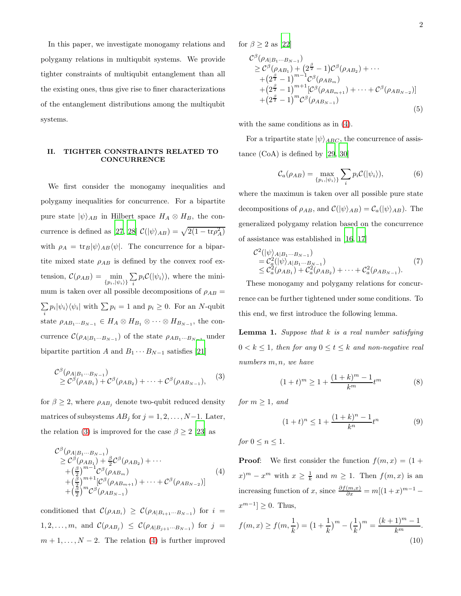In this paper, we investigate monogamy relations and polygamy relations in multiqubit systems. We provide tighter constraints of multiqubit entanglement than all the existing ones, thus give rise to finer characterizations of the entanglement distributions among the multiqubit systems.

## II. TIGHTER CONSTRAINTS RELATED TO **CONCURRENCE**

We first consider the monogamy inequalities and polygamy inequalities for concurrence. For a bipartite pure state  $|\psi\rangle_{AB}$  in Hilbert space  $H_A \otimes H_B$ , the con-currence is defined as [\[27,](#page-12-19) [28\]](#page-12-20)  $\mathcal{C}(|\psi\rangle_{AB}) = \sqrt{2(1 - \text{tr}\rho_A^2)}$ with  $\rho_A = \text{tr}_B|\psi\rangle_{AB}\langle\psi|$ . The concurrence for a bipartite mixed state  $\rho_{AB}$  is defined by the convex roof extension,  $\mathcal{C}(\rho_{AB}) = \min_{\{p_i, |\psi_i\rangle\}}$  $\sum$  $\sum_{i} p_i \mathcal{C}(|\psi_i\rangle)$ , where the minimum is taken over all possible decompositions of  $\rho_{AB} =$  $\sum$  $\sum_{i} p_i |\psi_i\rangle\langle\psi_i|$  with  $\sum p_i = 1$  and  $p_i \geq 0$ . For an N-qubit state  $\rho_{AB_1\cdots B_{N-1}} \in H_A \otimes H_{B_1} \otimes \cdots \otimes H_{B_{N-1}}$ , the concurrence  $\mathcal{C}(\rho_{A|B_1\cdots B_{N-1}})$  of the state  $\rho_{AB_1\cdots B_{N-1}}$  under bipartite partition A and  $B_1 \cdots B_{N-1}$  satisfies [\[21\]](#page-12-11)

<span id="page-1-0"></span>
$$
\mathcal{C}^{\beta}(\rho_{A|B_1\cdots B_{N-1}})\geq \mathcal{C}^{\beta}(\rho_{AB_1})+\mathcal{C}^{\beta}(\rho_{AB_2})+\cdots+\mathcal{C}^{\beta}(\rho_{AB_{N-1}}),
$$
 (3)

for  $\beta \geq 2$ , where  $\rho_{AB_j}$  denote two-qubit reduced density matrices of subsystems  $AB_j$  for  $j = 1, 2, ..., N-1$ . Later, the relation [\(3\)](#page-1-0) is improved for the case  $\beta \geq 2$  [\[23](#page-12-13)] as

<span id="page-1-1"></span>
$$
\mathcal{C}^{\beta}(\rho_{A|B_{1}\cdots B_{N-1}})\n\geq \mathcal{C}^{\beta}(\rho_{AB_{1}})+\frac{\beta}{2}\mathcal{C}^{\beta}(\rho_{AB_{2}})+\cdots\n+(\frac{\beta}{2})^{m-1}\mathcal{C}^{\beta}(\rho_{AB_{m}})\n+(\frac{\beta}{2})^{m+1}[\mathcal{C}^{\beta}(\rho_{AB_{m+1}})+\cdots+\mathcal{C}^{\beta}(\rho_{AB_{N-2}})]\n+(\frac{\beta}{2})^{m}\mathcal{C}^{\beta}(\rho_{AB_{N-1}})
$$
\n(4)

conditioned that  $\mathcal{C}(\rho_{AB_i}) \geq \mathcal{C}(\rho_{A|B_{i+1}\cdots B_{N-1}})$  for  $i =$  $1, 2, \ldots, m$ , and  $\mathcal{C}(\rho_{AB_j}) \leq \mathcal{C}(\rho_{A|B_{j+1}\cdots B_{N-1}})$  for  $j =$  $m+1,\ldots,N-2$ . The relation [\(4\)](#page-1-1) is further improved for  $\beta \geq 2$  as [\[22\]](#page-12-12)

<span id="page-1-6"></span>
$$
C^{\beta}(\rho_{A|B_{1}\cdots B_{N-1}})\geq C^{\beta}(\rho_{AB_{1}})+(2^{\frac{\beta}{2}}-1)C^{\beta}(\rho_{AB_{2}})+\cdots+(2^{\frac{\beta}{2}}-1)^{m-1}C^{\beta}(\rho_{AB_{m}})+(2^{\frac{\beta}{2}}-1)^{m+1}[C^{\beta}(\rho_{AB_{m+1}})+\cdots+C^{\beta}(\rho_{AB_{N-2}})]+(2^{\frac{\beta}{2}}-1)^{m}C^{\beta}(\rho_{AB_{N-1}})
$$
\n(5)

with the same conditions as in  $(4)$ .

For a tripartite state  $|\psi\rangle_{ABC}$ , the concurrence of assistance (CoA) is defined by [\[29](#page-12-21), [30](#page-13-0)]

$$
C_a(\rho_{AB}) = \max_{\{p_i, |\psi_i\rangle\}} \sum_i p_i C(|\psi_i\rangle),\tag{6}
$$

where the maximun is taken over all possible pure state decompositions of  $\rho_{AB}$ , and  $\mathcal{C}(|\psi\rangle_{AB}) = \mathcal{C}_a(|\psi\rangle_{AB})$ . The generalized polygamy relation based on the concurrence of assistance was established in [\[16,](#page-12-15) [17](#page-12-22)]

$$
\mathcal{C}^{2}(|\psi\rangle_{A|B_{1}\cdots B_{N-1}})\n= \mathcal{C}_{a}^{2}(|\psi\rangle_{A|B_{1}\cdots B_{N-1}})\n\leq \mathcal{C}_{a}^{2}(\rho_{AB_{1}}) + \mathcal{C}_{a}^{2}(\rho_{AB_{2}}) + \cdots + \mathcal{C}_{a}^{2}(\rho_{AB_{N-1}}).
$$
\n(7)

These monogamy and polygamy relations for concurrence can be further tightened under some conditions. To this end, we first introduce the following lemma.

<span id="page-1-5"></span>**Lemma 1.** Suppose that  $k$  is a real number satisfying  $0 < k \leq 1$ , then for any  $0 \leq t \leq k$  and non-negative real numbers  $m, n$ , we have

<span id="page-1-3"></span>
$$
(1+t)^m \ge 1 + \frac{(1+k)^m - 1}{k^m} t^m
$$
 (8)

for  $m \geq 1$ , and

<span id="page-1-4"></span>
$$
(1+t)^n \le 1 + \frac{(1+k)^n - 1}{k^n} t^n \tag{9}
$$

for  $0 \leq n \leq 1$ .

**Proof:** We first consider the function  $f(m, x) = (1 +$  $(x)^m - x^m$  with  $x \geq \frac{1}{k}$  and  $m \geq 1$ . Then  $f(m, x)$  is an increasing function of x, since  $\frac{\partial f(m,x)}{\partial x} = m[(1+x)^{m-1}$  $x^{m-1}$  ≥ 0. Thus,

<span id="page-1-2"></span>
$$
f(m, x) \ge f(m, \frac{1}{k}) = \left(1 + \frac{1}{k}\right)^m - \left(\frac{1}{k}\right)^m = \frac{(k+1)^m - 1}{k^m}.
$$
\n(10)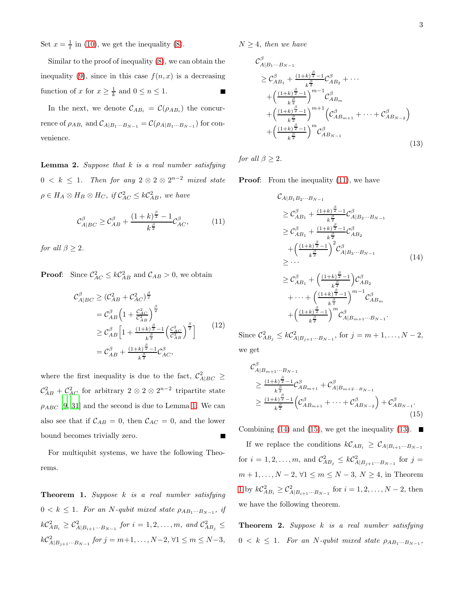Set  $x = \frac{1}{t}$  in [\(10\)](#page-1-2), we get the inequality [\(8\)](#page-1-3).

Similar to the proof of inequality [\(8\)](#page-1-3), we can obtain the inequality [\(9\)](#page-1-4), since in this case  $f(n, x)$  is a decreasing function of x for  $x \geq \frac{1}{k}$  and  $0 \leq n \leq 1$ .

In the next, we denote  $\mathcal{C}_{AB_i} = \mathcal{C}(\rho_{AB_i})$  the concurrence of  $\rho_{AB_i}$  and  $\mathcal{C}_{A|B_1\cdots B_{N-1}} = \mathcal{C}(\rho_{A|B_1\cdots B_{N-1}})$  for convenience.

**Lemma 2.** Suppose that  $k$  is a real number satisfying  $0 \lt k \leq 1$ . Then for any  $2 \otimes 2 \otimes 2^{n-2}$  mixed state  $\rho \in H_A \otimes H_B \otimes H_C$ , if  $\mathcal{C}_{AC}^2 \leq k\mathcal{C}_{AB}^2$ , we have

<span id="page-2-0"></span>
$$
\mathcal{C}_{A|BC}^{\beta} \ge \mathcal{C}_{AB}^{\beta} + \frac{(1+k)^{\frac{\beta}{2}} - 1}{k^{\frac{\beta}{2}}} \mathcal{C}_{AC}^{\beta},\tag{11}
$$

for all  $\beta \geq 2$ .

**Proof:** Since  $\mathcal{C}_{AC}^2 \leq k\mathcal{C}_{AB}^2$  and  $\mathcal{C}_{AB} > 0$ , we obtain

$$
\mathcal{C}_{A|BC}^{\beta} \geq (\mathcal{C}_{AB}^2 + \mathcal{C}_{AC}^2)^{\frac{\beta}{2}} \n= \mathcal{C}_{AB}^{\beta} \left( 1 + \frac{\mathcal{C}_{AC}^2}{\mathcal{C}_{AB}^2} \right)^{\frac{\beta}{2}} \n\geq \mathcal{C}_{AB}^{\beta} \left[ 1 + \frac{(1+k)^{\frac{\beta}{2}} - 1}{k^{\frac{\beta}{2}}} \left( \frac{\mathcal{C}_{AC}^2}{\mathcal{C}_{AB}^2} \right)^{\frac{\beta}{2}} \right] \n= \mathcal{C}_{AB}^{\beta} + \frac{(1+k)^{\frac{\beta}{2}} - 1}{k^{\frac{\beta}{2}}} \mathcal{C}_{AC}^{\beta},
$$
\n(12)

where the first inequality is due to the fact,  $\mathcal{C}_{A|BC}^2 \geq$  $\mathcal{C}_{AB}^2 + \mathcal{C}_{AC}^2$  for arbitrary  $2 \otimes 2 \otimes 2^{n-2}$  tripartite state  $\rho_{ABC}$  [\[9](#page-12-4), [31\]](#page-13-1) and the second is due to Lemma [1.](#page-1-5) We can also see that if  $C_{AB} = 0$ , then  $C_{AC} = 0$ , and the lower bound becomes trivially zero.

For multiqubit systems, we have the following Theorems.

<span id="page-2-4"></span>**Theorem 1.** Suppose  $k$  is a real number satisfying  $0 < k \leq 1$ . For an N-qubit mixed state  $\rho_{AB_1\cdots B_{N-1}}$ , if  $k\mathcal{C}_{AB_i}^2 \geq \mathcal{C}_{A|B_{i+1}\cdots B_{N-1}}^2$  for  $i = 1, 2, ..., m$ , and  $\mathcal{C}_{AB_j}^2 \leq$  $k\mathcal{C}_{A|B_{j+1}\cdots B_{N-1}}^2$  for  $j = m+1, \ldots, N-2, \forall 1 \le m \le N-3$ ,

 $N \geq 4$ , then we have

<span id="page-2-3"></span>
$$
C_{A|B_1\cdots B_{N-1}}^{\beta}
$$
  
\n
$$
\geq C_{AB_1}^{\beta} + \frac{(1+k)^{\frac{\beta}{2}}-1}{k^{\frac{\beta}{2}}}C_{AB_2}^{\beta} + \cdots
$$
  
\n
$$
+ \left(\frac{(1+k)^{\frac{\beta}{2}}-1}{k^{\frac{\beta}{2}}}\right)^{m-1}C_{AB_m}^{\beta}
$$
  
\n
$$
+ \left(\frac{(1+k)^{\frac{\beta}{2}}-1}{k^{\frac{\beta}{2}}}\right)^{m+1} \left(C_{AB_{m+1}}^{\beta} + \cdots + C_{AB_{N-2}}^{\beta}\right)
$$
  
\n
$$
+ \left(\frac{(1+k)^{\frac{\beta}{2}}-1}{k^{\frac{\beta}{2}}}\right)^{m}C_{AB_{N-1}}^{\beta}
$$
\n(13)

for all  $\beta \geq 2$ .

**Proof:** From the inequality [\(11\)](#page-2-0), we have

<span id="page-2-1"></span>
$$
C_{A|B_1B_2\cdots B_{N-1}}\n\geq C_{AB_1}^{\beta} + \frac{(1+k)^{\frac{\beta}{2}}-1}{k^{\frac{\beta}{2}}}C_{A|B_2\cdots B_{N-1}}^{\beta}\n\geq C_{AB_1}^{\beta} + \frac{(1+k)^{\frac{\beta}{2}}-1}{k^{\frac{\beta}{2}}}C_{AB_2}^{\beta}\n+ \left(\frac{(1+k)^{\frac{\beta}{2}}-1}{k^{\frac{\beta}{2}}}\right)^2 C_{A|B_3\cdots B_{N-1}}^{\beta}\n\geq \cdots\n\geq C_{AB_1}^{\beta} + \left(\frac{(1+k)^{\frac{\beta}{2}}-1}{k^{\frac{\beta}{2}}}\right)C_{AB_2}^{\beta}\n+ \cdots + \left(\frac{(1+k)^{\frac{\beta}{2}}-1}{k^{\frac{\beta}{2}}}\right)^{m-1} C_{AB_m}^{\beta}\n+ \left(\frac{(1+k)^{\frac{\beta}{2}}-1}{k^{\frac{\beta}{2}}}\right)^m C_{A|B_{m+1}\cdots B_{N-1}}^{\beta}.
$$
\n(14)

Since  $C_{AB_j}^2 \le kC_{A|B_{j+1}\cdots B_{N-1}}^2$ , for  $j = m+1, ..., N-2$ , we get

<span id="page-2-2"></span>
$$
\mathcal{C}_{A|B_{m+1}\cdots B_{N-1}}^{\beta}
$$
\n
$$
\geq \frac{(1+k)^{\frac{\beta}{2}-1}}{k^{\frac{\beta}{2}}} \mathcal{C}_{AB_{m+1}}^{\beta} + \mathcal{C}_{A|B_{m+2}\cdots B_{N-1}}^{\beta}
$$
\n
$$
\geq \frac{(1+k)^{\frac{\beta}{2}-1}}{k^{\frac{\beta}{2}}} \left( \mathcal{C}_{AB_{m+1}}^{\beta} + \cdots + \mathcal{C}_{AB_{N-2}}^{\beta} \right) + \mathcal{C}_{AB_{N-1}}^{\beta}.
$$
\n(15)

Combining [\(14\)](#page-2-1) and [\(15\)](#page-2-2), we get the inequality [\(13\)](#page-2-3).  $\blacksquare$ 

If we replace the conditions  $k\mathcal{C}_{AB_i} \geq \mathcal{C}_{A|B_{i+1}\cdots B_{N-1}}$ for  $i = 1, 2, ..., m$ , and  $C_{AB_j}^2 \leq kC_{A|B_{j+1}...B_{N-1}}^2$  for  $j =$  $m+1, \ldots, N-2, \forall 1 \leq m \leq N-3, N \geq 4$ , in Theorem [1](#page-2-4) by  $k\mathcal{C}_{AB_i}^2 \geq \mathcal{C}_{A|B_{i+1}\cdots B_{N-1}}^2$  for  $i = 1, 2, ..., N-2$ , then we have the following theorem.

**Theorem 2.** Suppose  $k$  is a real number satisfying  $0 < k \leq 1$ . For an N-qubit mixed state  $\rho_{AB_1\cdots B_{N-1}}$ ,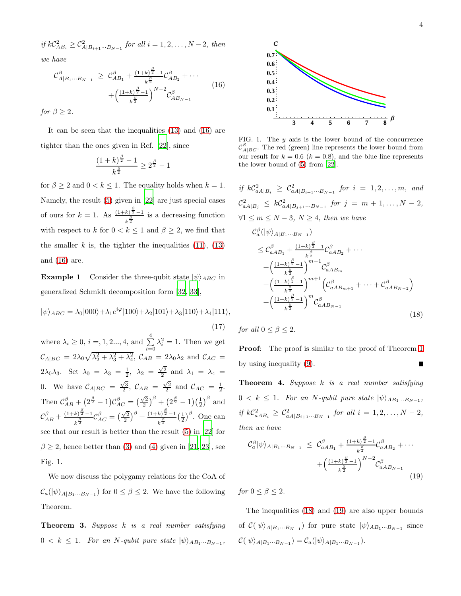if  $k\mathcal{C}_{AB_i}^2 \geq \mathcal{C}_{A|B_{i+1}\cdots B_{N-1}}^2$  for all  $i = 1, 2, ..., N-2$ , then we have

<span id="page-3-0"></span>
$$
\mathcal{C}_{A|B_1\cdots B_{N-1}}^{\beta} \geq \mathcal{C}_{AB_1}^{\beta} + \frac{(1+k)^{\frac{\beta}{2}} - 1}{k^{\frac{\beta}{2}}}\mathcal{C}_{AB_2}^{\beta} + \cdots + \left(\frac{(1+k)^{\frac{\beta}{2}} - 1}{k^{\frac{\beta}{2}}}\right)^{N-2}\mathcal{C}_{AB_{N-1}}^{\beta}
$$
(16)

for  $\beta \geq 2$ .

It can be seen that the inequalities [\(13\)](#page-2-3) and [\(16\)](#page-3-0) are tighter than the ones given in Ref. [\[22\]](#page-12-12), since

$$
\frac{(1+k)^{\frac{\beta}{2}}-1}{k^{\frac{\beta}{2}}} \ge 2^{\frac{\beta}{2}}-1
$$

for  $\beta \geq 2$  and  $0 < k \leq 1$ . The equality holds when  $k = 1$ . Namely, the result [\(5\)](#page-1-6) given in [\[22](#page-12-12)] are just special cases of ours for  $k=1$ . As  $\frac{(1+k)^{\frac{\beta}{2}}-1}{\beta}$  $rac{k^{3}}{k^{2}}$  is a decreasing function with respect to k for  $0 < k \leq 1$  and  $\beta \geq 2$ , we find that the smaller k is, the tighter the inequalities  $(11)$ ,  $(13)$ and [\(16\)](#page-3-0) are.

**Example 1** Consider the three-qubit state  $|\psi\rangle_{ABC}$  in generalized Schmidt decomposition form [\[32,](#page-13-2) [33\]](#page-13-3),

<span id="page-3-3"></span>
$$
|\psi\rangle_{ABC} = \lambda_0|000\rangle + \lambda_1 e^{i\varphi}|100\rangle + \lambda_2|101\rangle + \lambda_3|110\rangle + \lambda_4|111\rangle,
$$
\n(17)

where  $\lambda_i \geq 0, i = 1, 2, \ldots, 4$ , and  $\sum_{i=1}^{4} \lambda_i^2 = 1$ . Then we get  $i=0$  $\mathcal{C}_{A|BC} = 2\lambda_0 \sqrt{\lambda_2^2 + \lambda_3^2 + \lambda_4^2}$ ,  $\mathcal{C}_{AB} = 2\lambda_0 \lambda_2$  and  $\mathcal{C}_{AC} =$ 2 $\lambda_0 \lambda_3$ . Set  $\lambda_0 = \lambda_3 = \frac{1}{2}$ ,  $\lambda_2 = \frac{\sqrt{2}}{2}$  and  $\lambda_1 = \lambda_4 =$ 0. We have  $\mathcal{C}_{A|BC} = \frac{\sqrt{3}}{2}$ ,  $\mathcal{C}_{AB} = \frac{\sqrt{2}}{2}$  and  $\mathcal{C}_{AC} = \frac{1}{2}$ . Then  $\mathcal{C}_{AB}^{\beta} + (2^{\frac{\beta}{2}} - 1)\mathcal{C}_{AC}^{\beta} = (\frac{\sqrt{2}}{2})^{\beta} + (2^{\frac{\beta}{2}} - 1)(\frac{1}{2})^{\beta}$  and  $\mathcal{C}_{AB}^{\beta} + \frac{(1+k)^{\frac{\beta}{2}}-1}{k^{\frac{\beta}{2}}}$  $\frac{\frac{k}{2}\frac{\beta}{2}-1}{k^{\frac{\beta}{2}}} \mathcal{C}_{AC}^{\beta} = \left(\frac{\sqrt{2}}{2}\right)^{\beta} + \frac{(1+k)\frac{\beta}{2}-1}{k^{\frac{\beta}{2}}}$  $\frac{k^{\frac{3}{2}-1}}{k^{\frac{\beta}{2}}} \left(\frac{1}{2}\right)^{\beta}$ . One can see that our result is better than the result [\(5\)](#page-1-6) in [\[22\]](#page-12-12) for  $\beta \geq 2$ , hence better than [\(3\)](#page-1-0) and [\(4\)](#page-1-1) given in [\[21](#page-12-11), [23\]](#page-12-13), see Fig. 1.

We now discuss the polygamy relations for the CoA of  $\mathcal{C}_a(|\psi\rangle_{A|B_1\cdots B_{N-1}})$  for  $0 \leq \beta \leq 2$ . We have the following Theorem.

**Theorem 3.** Suppose  $k$  is a real number satisfying  $0 < k \leq 1$ . For an N-qubit pure state  $|\psi\rangle_{AB_1\cdots B_{N-1}}$ ,



FIG. 1. The  $y$  axis is the lower bound of the concurrence  $\mathcal{C}_{A|BC}^{\beta}$ . The red (green) line represents the lower bound from our result for  $k = 0.6$  ( $k = 0.8$ ), and the blue line represents the lower bound of [\(5\)](#page-1-6) from [\[22](#page-12-12)].

if  $k\mathcal{C}_{aA|B_i}^2 \geq \mathcal{C}_{aA|B_{i+1}\cdots B_{N-1}}^2$  for  $i = 1, 2, ..., m$ , and  $\mathcal{C}_{aA|B_j}^2 \leq k\mathcal{C}_{aA|B_{j+1}\cdots B_{N-1}}^2$  for  $j = m+1,\ldots,N-2$ ,  $\forall 1 \leq m \leq N-3, N \geq 4$ , then we have  $\mathcal{C}_{a}^{\beta}(|\psi\rangle_{A|B_{1}\cdots B_{N-1}})$  $\leq C_{aAB_1}^{\beta}+\frac{(1+k)^{\frac{\beta}{2}}-1}{k^{\frac{\beta}{2}}}$  $\frac{k}{k^{\frac{\beta}{2}}-1}\mathcal{C}_{aAB_2}^{\beta}+\cdots$  $+\left(\frac{(1+k)^{\frac{\beta}{2}}-1}{k^{\frac{\beta}{2}}} \right)^{m-1} \mathcal{C}^{\beta}_{aAB_m}$  $_{k_2}$  $+\left(\frac{(1+k)^{\frac{\beta}{2}}-1}{\beta}\right)$  $k^{\frac{\beta}{2}}$  $\int^{m+1}\Bigl(\mathcal{C}^{\beta}_{aAB_{m+1}}+\cdots+\mathcal{C}^{\beta}_{aAB_{N-2}}\Bigr)$  $\setminus$  $+\left(\frac{(1+k)^{\frac{\beta}{2}}-1}{\beta}\right)$  $k^{\frac{\beta}{2}}$  $\Big)^m$ C $_{aAB_{N-1}}^{\beta}$ (18)

<span id="page-3-1"></span>for all  $0 < \beta < 2$ .

Proof: The proof is similar to the proof of Theorem [1](#page-2-4) by using inequality [\(9\)](#page-1-4). Г

**Theorem 4.** Suppose  $k$  is a real number satisfying  $0 < k \leq 1$ . For an N-qubit pure state  $|\psi\rangle_{AB_1\cdots B_{N-1}}$ , if  $k\mathcal{C}_{aAB_i}^2 \geq \mathcal{C}_{aA|B_{i+1}\cdots B_{N-1}}^2$  for all  $i = 1, 2, ..., N-2$ , then we have

<span id="page-3-2"></span>
$$
\mathcal{C}_{a}^{\beta}|\psi\rangle_{A|B_{1}\cdots B_{N-1}} \leq \mathcal{C}_{aAB_{1}}^{\beta} + \frac{(1+k)^{\frac{\beta}{2}}-1}{k^{\frac{\beta}{2}}}\mathcal{C}_{aAB_{2}}^{\beta} + \cdots + \left(\frac{(1+k)^{\frac{\beta}{2}}-1}{k^{\frac{\beta}{2}}}\right)^{N-2}\mathcal{C}_{aAB_{N-1}}^{\beta}
$$
\n(19)

for  $0 \le \beta \le 2$ .

The inequalities [\(18\)](#page-3-1) and [\(19\)](#page-3-2) are also upper bounds of  $C(|\psi\rangle_{A|B_1\cdots B_{N-1}})$  for pure state  $|\psi\rangle_{AB_1\cdots B_{N-1}}$  since  $\mathcal{C}(|\psi\rangle_{A|B_1\cdots B_{N-1}}) = \mathcal{C}_a(|\psi\rangle_{A|B_1\cdots B_{N-1}}).$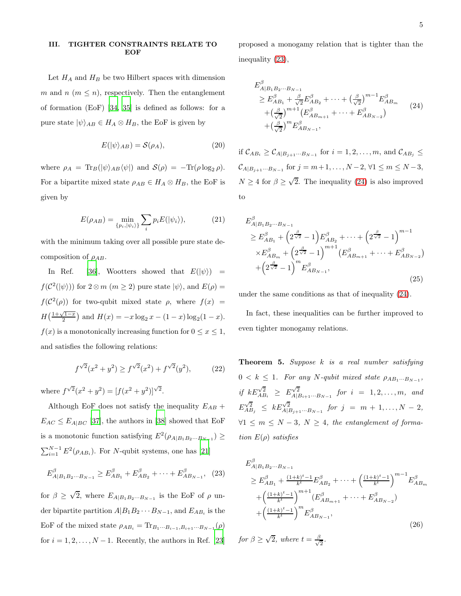## III. TIGHTER CONSTRAINTS RELATE TO EOF

Let  $H_A$  and  $H_B$  be two Hilbert spaces with dimension m and  $n \ (m \leq n)$ , respectively. Then the entanglement of formation (EoF) [\[34,](#page-13-4) [35\]](#page-13-5) is defined as follows: for a pure state  $|\psi\rangle_{AB} \in H_A \otimes H_B$ , the EoF is given by

$$
E(|\psi\rangle_{AB}) = \mathcal{S}(\rho_A),\tag{20}
$$

where  $\rho_A = \text{Tr}_B(|\psi\rangle_{AB} \langle \psi|)$  and  $\mathcal{S}(\rho) = -\text{Tr}(\rho \log_2 \rho)$ . For a bipartite mixed state  $\rho_{AB} \in H_A \otimes H_B$ , the EoF is given by

$$
E(\rho_{AB}) = \min_{\{p_i, |\psi_i\rangle\}} \sum_i p_i E(|\psi_i\rangle),\tag{21}
$$

with the minimum taking over all possible pure state decomposition of  $\rho_{AB}$ .

In Ref. [\[36\]](#page-13-6), Wootters showed that  $E(|\psi\rangle)$  =  $f(\mathcal{C}^2(\vert\psi\rangle))$  for  $2\otimes m$   $(m\geq 2)$  pure state  $\vert\psi\rangle$ , and  $E(\rho)$  =  $f(\mathcal{C}^2(\rho))$  for two-qubit mixed state  $\rho$ , where  $f(x) =$  $H\left(\frac{1+\sqrt{1-x}}{2}\right)$  and  $H(x) = -x \log_2 x - (1-x) \log_2 (1-x)$ .  $f(x)$  is a monotonically increasing function for  $0 \le x \le 1$ , and satisfies the following relations:

<span id="page-4-2"></span>
$$
f^{\sqrt{2}}(x^2 + y^2) \ge f^{\sqrt{2}}(x^2) + f^{\sqrt{2}}(y^2), \tag{22}
$$

where  $f^{\sqrt{2}}(x^2 + y^2) = [f(x^2 + y^2)]^{\sqrt{2}}$ .

Although EoF does not satisfy the inequality  $E_{AB}$  +  $E_{AC} \leq E_{A|BC}$  [\[37](#page-13-7)], the authors in [\[38\]](#page-13-8) showed that EoF is a monotonic function satisfying  $E^2(\rho_{A|B_1B_2\cdots B_{N-1}}) \ge$  $\sum_{i=1}^{N-1} E^2(\rho_{AB_i})$ . For N-qubit systems, one has [\[21](#page-12-11)]

<span id="page-4-0"></span>
$$
E_{A|B_1B_2\cdots B_{N-1}}^{\beta} \ge E_{AB_1}^{\beta} + E_{AB_2}^{\beta} + \cdots + E_{AB_{N-1}}^{\beta}, \quad (23)
$$

for  $\beta \geq \sqrt{2}$ , where  $E_{A|B_1B_2...B_{N-1}}$  is the EoF of  $\rho$  under bipartite partition  $A|B_1B_2\cdots B_{N-1}$ , and  $E_{AB_i}$  is the EoF of the mixed state  $\rho_{AB_i} = \text{Tr}_{B_1 \cdots B_{i-1}, B_{i+1} \cdots B_{N-1}}(\rho)$ for  $i = 1, 2, \ldots, N - 1$ . Recently, the authors in Ref. [\[23](#page-12-13)] proposed a monogamy relation that is tighter than the inequality [\(23\)](#page-4-0),

<span id="page-4-1"></span>
$$
E_{A|B_1B_2\cdots B_{N-1}}^{\beta}
$$
  
\n
$$
\geq E_{AB_1}^{\beta} + \frac{\beta}{\sqrt{2}} E_{AB_2}^{\beta} + \cdots + \left(\frac{\beta}{\sqrt{2}}\right)^{m-1} E_{AB_m}^{\beta}
$$
  
\n
$$
+ \left(\frac{\beta}{\sqrt{2}}\right)^{m+1} \left(E_{AB_{m+1}}^{\beta} + \cdots + E_{AB_{N-2}}^{\beta}\right)
$$
  
\n
$$
+ \left(\frac{\beta}{\sqrt{2}}\right)^m E_{AB_{N-1}}^{\beta},
$$
\n(24)

if  $\mathcal{C}_{AB_i} \geq \mathcal{C}_{A|B_{j+1}\cdots B_{N-1}}$  for  $i = 1, 2, \ldots, m$ , and  $\mathcal{C}_{AB_j} \leq$  $\mathcal{C}_{A|B_{j+1}\cdots B_{N-1}}$  for  $j = m+1, \ldots, N-2, \forall 1 \leq m \leq N-3$ ,  $N \geq 4$  for  $\beta \geq \sqrt{2}$ . The inequality [\(24\)](#page-4-1) is also improved to

$$
E_{A|B_1B_2\cdots B_{N-1}}^{\beta}
$$
  
\n
$$
\geq E_{AB_1}^{\beta} + \left(2^{\frac{\beta}{\sqrt{2}}} - 1\right) E_{AB_2}^{\beta} + \cdots + \left(2^{\frac{\beta}{\sqrt{2}}} - 1\right)^{m-1}
$$
  
\n
$$
\times E_{AB_m}^{\beta} + \left(2^{\frac{\beta}{\sqrt{2}}} - 1\right)^{m+1} \left( E_{AB_{m+1}}^{\beta} + \cdots + E_{AB_{N-2}}^{\beta} \right)
$$
  
\n
$$
+ \left(2^{\frac{\beta}{\sqrt{2}}} - 1\right)^m E_{AB_{N-1}}^{\beta},
$$
\n(25)

under the same conditions as that of inequality [\(24\)](#page-4-1).

In fact, these inequalities can be further improved to even tighter monogamy relations.

**Theorem 5.** Suppose  $k$  is a real number satisfying  $0 < k \leq 1$ . For any N-qubit mixed state  $\rho_{AB_1\cdots B_{N-1}}$ , if  $kE_{AB_i}^{\sqrt{2}} \ge E_{A|B_{i+1}\cdots B_{N-1}}^{\sqrt{2}}$  for  $i = 1, 2, ..., m$ , and  $E_{AB_j}^{\sqrt{2}} \leq k E_{A|B_{j+1}\cdots B_{N-1}}^{\sqrt{2}}$  for  $j = m+1,\ldots,N-2$ ,  $\forall 1 \leq m \leq N-3, N \geq 4$ , the entanglement of formation  $E(\rho)$  satisfies

<span id="page-4-3"></span>
$$
E_{A|B_1B_2\cdots B_{N-1}}^{\beta}
$$
  
\n
$$
\geq E_{AB_1}^{\beta} + \frac{(1+k)^{t}-1}{k^t} E_{AB_2}^{\beta} + \cdots + \left(\frac{(1+k)^{t}-1}{k^t}\right)^{m-1} E_{AB_m}^{\beta}
$$
  
\n
$$
+ \left(\frac{(1+k)^{t}-1}{k^t}\right)^{m+1} (E_{AB_{m+1}}^{\beta} + \cdots + E_{AB_{N-2}}^{\beta})
$$
  
\n
$$
+ \left(\frac{(1+k)^{t}-1}{k^t}\right)^m E_{AB_{N-1}}^{\beta},
$$
\n(26)

for  $\beta \geq \sqrt{2}$ , where  $t = \frac{\beta}{\sqrt{2}}$  $\frac{1}{2}$ .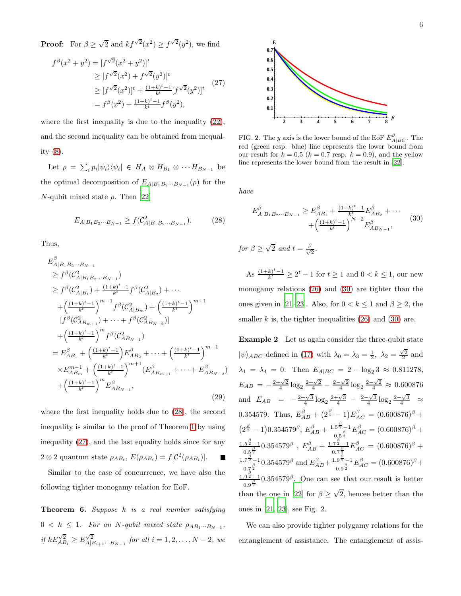**Proof:** For  $\beta \geq \sqrt{2}$  and  $kf^{\sqrt{2}}(x^2) \geq f^{\sqrt{2}}(y^2)$ , we find

<span id="page-5-1"></span>
$$
f^{\beta}(x^{2} + y^{2}) = [f^{\sqrt{2}}(x^{2} + y^{2})]^{t}
$$
  
\n
$$
\geq [f^{\sqrt{2}}(x^{2}) + f^{\sqrt{2}}(y^{2})]^{t}
$$
  
\n
$$
\geq [f^{\sqrt{2}}(x^{2})]^{t} + \frac{(1+k)^{t}-1}{k^{t}} [f^{\sqrt{2}}(y^{2})]^{t}
$$
  
\n
$$
= f^{\beta}(x^{2}) + \frac{(1+k)^{t}-1}{k^{t}} f^{\beta}(y^{2}),
$$
\n(27)

where the first inequality is due to the inequality [\(22\)](#page-4-2), and the second inequality can be obtained from inequality [\(8\)](#page-1-3).

Let  $\rho = \sum_i p_i |\psi_i\rangle\langle\psi_i| \in H_A \otimes H_{B_1} \otimes \cdots H_{B_{N-1}}$  be the optimal decomposition of  $E_{A|B_1B_2\cdots B_{N-1}}(\rho)$  for the N-qubit mixed state  $\rho$ . Then [\[22\]](#page-12-12)

<span id="page-5-0"></span>
$$
E_{A|B_1B_2\cdots B_{N-1}} \ge f(\mathcal{C}_{A|B_1B_2\cdots B_{N-1}}^2). \tag{28}
$$

Thus,

$$
E_{A|B_1B_2\cdots B_{N-1}}^{\beta}
$$
  
\n
$$
\geq f^{\beta}(\mathcal{C}_{A|B_1B_2\cdots B_{N-1}}^2)
$$
  
\n
$$
\geq f^{\beta}(\mathcal{C}_{A|B_1}^2) + \frac{(1+k)^t - 1}{k^t} f^{\beta}(\mathcal{C}_{A|B_2}^2) + \cdots
$$
  
\n
$$
+ \left(\frac{(1+k)^t - 1}{k^t}\right)^{m-1} f^{\beta}(\mathcal{C}_{A|B_m}^2) + \left(\frac{(1+k)^t - 1}{k^t}\right)^{m+1}
$$
  
\n
$$
[f^{\beta}(\mathcal{C}_{AB_{m+1}}^2) + \cdots + f^{\beta}(\mathcal{C}_{AB_{N-2}}^2)]
$$
  
\n
$$
+ \left(\frac{(1+k)^t - 1}{k^t}\right)^m f^{\beta}(\mathcal{C}_{AB_{N-1}}^2)
$$
  
\n
$$
= E_{AB_1}^{\beta} + \left(\frac{(1+k)^t - 1}{k^t}\right) E_{AB_2}^{\beta} + \cdots + \left(\frac{(1+k)^t - 1}{k^t}\right)^{m-1}
$$
  
\n
$$
\times E_{AB_m}^{m-1} + \left(\frac{(1+k)^t - 1}{k^t}\right)^{m+1} (E_{AB_{m+1}}^{\beta} + \cdots + E_{AB_{N-2}}^{\beta})
$$
  
\n
$$
+ \left(\frac{(1+k)^t - 1}{k^t}\right)^m E_{AB_{N-1}}^{\beta}, \qquad (29)
$$

where the first inequality holds due to [\(28\)](#page-5-0), the second inequality is similar to the proof of Theorem [1](#page-2-4) by using inequality [\(27\)](#page-5-1), and the last equality holds since for any  $2 \otimes 2$  quantum state  $\rho_{AB_i}$ ,  $E(\rho_{AB_i}) = f[\mathcal{C}^2(\rho_{AB_i})]$ . П

Similar to the case of concurrence, we have also the following tighter monogamy relation for EoF.

**Theorem 6.** Suppose  $k$  is a real number satisfying  $0 < k \leq 1$ . For an N-qubit mixed state  $\rho_{AB_1...B_{N-1}}$ , if  $kE_{AB_i}^{\sqrt{2}} \ge E_{A|B_{i+1}\cdots B_{N-1}}^{\sqrt{2}}$  for all  $i = 1, 2, ..., N-2$ , we



FIG. 2. The y axis is the lower bound of the EoF  $E_{A|BC}^{\beta}$ . The red (green resp. blue) line represents the lower bound from our result for  $k = 0.5$  ( $k = 0.7$  resp.  $k = 0.9$ ), and the yellow line represents the lower bound from the result in [\[22](#page-12-12)].

have

<span id="page-5-2"></span>
$$
E_{A|B_1B_2\cdots B_{N-1}}^{\beta} \ge E_{AB_1}^{\beta} + \frac{(1+k)^t - 1}{k^t} E_{AB_2}^{\beta} + \cdots
$$
  
+ 
$$
\left(\frac{(1+k)^t - 1}{k^t}\right)^{N-2} E_{AB_{N-1}}^{\beta},
$$
 (30)

for  $\beta \geq \sqrt{2}$  and  $t = \frac{\beta}{\sqrt{2}}$  $\frac{1}{2}$ .

As  $\frac{(1+k)^t-1}{k^t} \ge 2^t - 1$  for  $t \ge 1$  and  $0 < k \le 1$ , our new monogamy relations [\(26\)](#page-4-3) and [\(30\)](#page-5-2) are tighter than the ones given in [\[21](#page-12-11)[–23\]](#page-12-13). Also, for  $0 < k \le 1$  and  $\beta \ge 2$ , the smaller  $k$  is, the tighter inequalities  $(26)$  and  $(30)$  are.

Example 2 Let us again consider the three-qubit state  $|\psi\rangle_{ABC}$  defined in [\(17\)](#page-3-3) with  $\lambda_0 = \lambda_3 = \frac{1}{2}$ ,  $\lambda_2 = \frac{\sqrt{2}}{2}$  and  $\lambda_1 = \lambda_4 = 0$ . Then  $E_{A|BC} = 2 - \log_2 3 \approx 0.811278$ ,  $E_{AB} = -\frac{2+\sqrt{2}}{4} \log_2 \frac{2+\sqrt{2}}{4} - \frac{2-\sqrt{2}}{4} \log_2 \frac{2-\sqrt{2}}{4} \approx 0.600876$ and  $E_{AB} = -\frac{2+\sqrt{3}}{4} \log_2 \frac{2+\sqrt{3}}{4} - \frac{2-\sqrt{3}}{4} \log_2 \frac{2-\sqrt{3}}{4}$   $\approx$ 0.354579. Thus,  $E_{AB}^{\beta} + (2^{\frac{\beta}{2}} - 1)E_{AC}^{\beta} = (0.600876)^{\beta} +$  $\left(2^{\frac{\beta}{2}}-1\right)0.354579^{\beta}, E_{AB}^{\beta}+\frac{1.5^{\frac{\beta}{2}}-1}{0.5^{\frac{\beta}{2}}}$  $\frac{5\frac{5}{2}-1}{0.5\frac{\beta}{2}}E_{AC}^{\beta} = (0.600876)^{\beta} +$  $1.5\frac{\beta}{2}-1$  $\frac{5^{\frac{\beta}{2}}-1}{0.5^{\frac{\beta}{2}}} 0.354579^{\beta}$  ,  $E_{AB}^{\beta} + \frac{1.7^{\frac{\beta}{2}}-1}{0.7^{\frac{\beta}{2}}}$  $\frac{7^{\frac{5}{2}}-1}{0.7^{\frac{\beta}{2}}}E_{AC}^{\beta} = (0.600876)^{\beta} +$  $1.7\frac{\beta}{2} - 1$  $\frac{7^{\frac{\beta}{2}}-1}{0.7^{\frac{\beta}{2}}}$ 0.354579<sup>β</sup> and  $E_{AB}^{\beta} + \frac{1.9^{\frac{\beta}{2}}-1}{0.9^{\frac{\beta}{2}}}$  $\frac{.9^{\frac{5}{2}}-1}{0.9^{\frac{\beta}{2}}}E_{AC}^{\beta} = (0.600876)^{\beta} +$  $1.9\frac{\beta}{\beta}-1$  $\frac{9^{\frac{3}{2}-1}0.354579^{\beta}}{0.9^{\frac{3}{2}}}$ . One can see that our result is better than the one in [\[22\]](#page-12-12) for  $\beta \geq \sqrt{2}$ , hencee better than the ones in [\[21,](#page-12-11) [23\]](#page-12-13), see Fig. 2.

We can also provide tighter polygamy relations for the entanglement of assistance. The entanglement of assis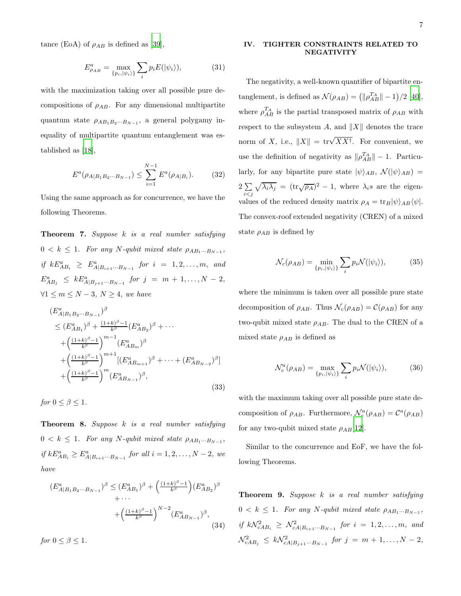tance (EoA) of  $\rho_{AB}$  is defined as [\[39\]](#page-13-9),

$$
E_{\rho_{AB}}^a = \max_{\{p_i, |\psi_i\rangle\}} \sum_i p_i E(|\psi_i\rangle), \tag{31}
$$

with the maximization taking over all possible pure decompositions of  $\rho_{AB}$ . For any dimensional multipartite quantum state  $\rho_{AB_1B_2\cdots B_{N-1}}$ , a general polygamy inequality of multipartite quantum entanglement was established as [\[18\]](#page-12-16),

$$
E^{a}(\rho_{A|B_{1}B_{2}\cdots B_{N-1}}) \leq \sum_{i=1}^{N-1} E^{a}(\rho_{A|B_{i}}). \tag{32}
$$

Using the same approach as for concurrence, we have the following Theorems.

Theorem 7. Suppose k is a real number satisfying  $0 < k \leq 1$ . For any N-qubit mixed state  $\rho_{AB_1...B_{N-1}}$ , if  $kE_{AB_i}^a \geq E_{A|B_{i+1}\cdots B_{N-1}}^a$  for  $i = 1, 2, ..., m$ , and  $E_{AB_j}^a \leq k E_{A|B_{j+1}\cdots B_{N-1}}^a$  for  $j = m+1,\ldots,N-2$ ,  $∀1 ≤ m ≤ N - 3, N ≥ 4, we have$ 

$$
(E_{A|B_1B_2\cdots B_{N-1}}^a)^\beta
$$
  
\n
$$
\leq (E_{AB_1}^a)^\beta + \frac{(1+k)^\beta - 1}{k^\beta} (E_{AB_2}^a)^\beta + \cdots
$$
  
\n
$$
+ \left(\frac{(1+k)^\beta - 1}{k^\beta}\right)^{m-1} (E_{AB_m}^a)^\beta
$$
  
\n
$$
+ \left(\frac{(1+k)^\beta - 1}{k^\beta}\right)^{m+1} [(E_{AB_{m+1}}^a)^\beta + \cdots + (E_{AB_{N-2}}^a)^\beta]
$$
  
\n
$$
+ \left(\frac{(1+k)^\beta - 1}{k^\beta}\right)^m (E_{AB_{N-1}}^a)^\beta,
$$
\n(33)

for  $0 \leq \beta \leq 1$ .

**Theorem 8.** Suppose  $k$  is a real number satisfying  $0 < k \leq 1$ . For any N-qubit mixed state  $\rho_{AB_1\cdots B_{N-1}}$ , if  $kE_{AB_i}^a \ge E_{A|B_{i+1}\cdots B_{N-1}}^a$  for all  $i = 1, 2, ..., N-2$ , we have

$$
(E_{A|B_1B_2\cdots B_{N-1}}^a)^{\beta} \le (E_{AB_1}^a)^{\beta} + \left(\frac{(1+k)^{\beta}-1}{k^{\beta}}\right)(E_{AB_2}^a)^{\beta} + \cdots + \left(\frac{(1+k)^{\beta}-1}{k^{\beta}}\right)^{N-2} (E_{AB_{N-1}}^a)^{\beta},
$$
\n(34)

for  $0 \leq \beta \leq 1$ .

## IV. TIGHTER CONSTRAINTS RELATED TO NEGATIVITY

The negativity, a well-known quantifier of bipartite entanglement, is defined as  $\mathcal{N}(\rho_{AB}) = (||\rho_{AB}^{T_A}|| - 1)/2$  [\[40\]](#page-13-10), where  $\rho_{AB}^{T_A}$  is the partial transposed matrix of  $\rho_{AB}$  with respect to the subsystem A, and  $||X||$  denotes the trace norm of X, i.e.,  $||X|| = \text{tr}\sqrt{XX^{\dagger}}$ . For convenient, we use the definition of negativity as  $\|\rho_{AB}^{T_A}\| - 1$ . Particularly, for any bipartite pure state  $|\psi\rangle_{AB}$ ,  $\mathcal{N}(|\psi\rangle_{AB})$  =  $2\sum$  $i < j$  $\sqrt{\lambda_i \lambda_j} = (\text{tr}\sqrt{\rho_A})^2 - 1$ , where  $\lambda_i s$  are the eigenvalues of the reduced density matrix  $\rho_A = \text{tr}_B|\psi\rangle_{AB}\langle\psi|$ . The convex-roof extended negativity (CREN) of a mixed state  $\rho_{AB}$  is defined by

$$
\mathcal{N}_c(\rho_{AB}) = \min_{\{p_i, |\psi_i\rangle\}} \sum_i p_i \mathcal{N}(|\psi_i\rangle),\tag{35}
$$

where the minimum is taken over all possible pure state decomposition of  $\rho_{AB}$ . Thus  $\mathcal{N}_c(\rho_{AB}) = \mathcal{C}(\rho_{AB})$  for any two-qubit mixed state  $\rho_{AB}$ . The dual to the CREN of a mixed state  $\rho_{AB}$  is defined as

$$
\mathcal{N}_c^a(\rho_{AB}) = \max_{\{p_i, |\psi_i\rangle\}} \sum_i p_i \mathcal{N}(|\psi_i\rangle),\tag{36}
$$

with the maximum taking over all possible pure state decomposition of  $\rho_{AB}$ . Furthermore,  $\mathcal{N}_c^a(\rho_{AB}) = \mathcal{C}^a(\rho_{AB})$ for any two-qubit mixed state  $\rho_{AB}[12]$  $\rho_{AB}[12]$ .

Similar to the concurrence and EoF, we have the following Theorems.

**Theorem 9.** Suppose  $k$  is a real number satisfying  $0 < k \leq 1$ . For any N-qubit mixed state  $\rho_{AB_1...B_{N-1}}$ , if  $k\mathcal{N}_{cAB_i}^2 \geq \mathcal{N}_{cA|B_{i+1}\cdots B_{N-1}}^2$  for  $i = 1, 2, ..., m$ , and  $\mathcal{N}_{cAB_j}^2 \leq k\mathcal{N}_{cA|B_{j+1}\cdots B_{N-1}}^2$  for  $j = m+1,\ldots,N-2$ ,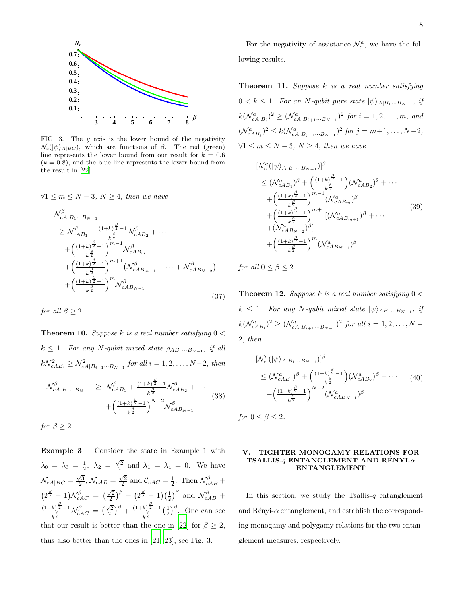

FIG. 3. The  $y$  axis is the lower bound of the negativity  $\mathcal{N}_c(|\psi\rangle_{A|BC})$ , which are functions of  $\beta$ . The red (green) line represents the lower bound from our result for  $k = 0.6$  $(k = 0.8)$ , and the blue line represents the lower bound from the result in [\[22](#page-12-12)].

$$
\forall 1 \leq m \leq N-3, N \geq 4, \text{ then we have}
$$
\n
$$
\mathcal{N}_{cA|B_1\cdots B_{N-1}}^{\beta}
$$
\n
$$
\geq \mathcal{N}_{cAB_1}^{\beta} + \frac{(1+k)^{\frac{\beta}{2}}-1}{k^{\frac{\beta}{2}}} \mathcal{N}_{cAB_2}^{\beta} + \cdots
$$
\n
$$
+ \left(\frac{(1+k)^{\frac{\beta}{2}}-1}{k^{\frac{\beta}{2}}}\right)^{m-1} \mathcal{N}_{cAB_m}^{\beta}
$$
\n
$$
+ \left(\frac{(1+k)^{\frac{\beta}{2}}-1}{k^{\frac{\beta}{2}}}\right)^{m+1} \left(\mathcal{N}_{cAB_{m+1}}^{\beta} + \cdots + \mathcal{N}_{cAB_{N-2}}^{\beta}\right)
$$
\n
$$
+ \left(\frac{(1+k)^{\frac{\beta}{2}}-1}{k^{\frac{\beta}{2}}}\right)^m \mathcal{N}_{cAB_{N-1}}^{\beta}
$$
\n(37)

for all  $\beta > 2$ .

**Theorem 10.** Suppose k is a real number satisfying  $0 <$  $k \leq 1$ . For any N-qubit mixed state  $\rho_{AB_1\cdots B_{N-1}}$ , if all  $k\mathcal{N}_{cAB_i}^2 \geq \mathcal{N}_{cA|B_{i+1}\cdots B_{N-1}}^2$  for all  $i = 1, 2, ..., N-2$ , then

$$
\mathcal{N}_{cA|B_1\cdots B_{N-1}}^{\beta} \geq \mathcal{N}_{cAB_1}^{\beta} + \frac{(1+k)^{\frac{\beta}{2}} - 1}{k^{\frac{\beta}{2}}}\mathcal{N}_{cAB_2}^{\beta} + \cdots + \left(\frac{(1+k)^{\frac{\beta}{2}} - 1}{k^{\frac{\beta}{2}}}\right)^{N-2}\mathcal{N}_{cAB_{N-1}}^{\beta}
$$
\n(38)

for  $\beta \geq 2$ .

Example 3 Consider the state in Example 1 with  $\lambda_0 = \lambda_3 = \frac{1}{2}, \lambda_2 = \frac{\sqrt{2}}{2}$  and  $\lambda_1 = \lambda_4 = 0$ . We have  $\mathcal{N}_{cA|BC} = \frac{\sqrt{3}}{2}, \mathcal{N}_{cAB} = \frac{\sqrt{2}}{2}$  and  $\mathcal{C}_{cAC} = \frac{1}{2}$ . Then  $\mathcal{N}_{cAB}^{\beta}$  +  $(2^{\frac{\beta}{2}}-1)\mathcal{N}^{\beta}_{cAC} = (\frac{\sqrt{2}}{2})^{\beta} + (2^{\frac{\beta}{2}}-1)(\frac{1}{2})^{\beta}$  and  $\mathcal{N}^{\beta}_{cAB}$  +  $\frac{\beta}{2} - 1$  $\frac{k^{\frac{\beta}{2}-1}}{k^{\frac{\beta}{2}}} \mathcal{N}^{\beta}_{cAC} = \left(\frac{\sqrt{2}}{2}\right)^{\beta} + \frac{(1+k)^{\frac{\beta}{2}-1}}{k^{\frac{\beta}{2}}}$  $\frac{k^{\frac{5}{2}-1}}{k^{\frac{\beta}{2}}} \left(\frac{1}{2}\right)^{\beta}$ . One can see that our result is better than the one in [\[22](#page-12-12)] for  $\beta \geq 2$ , thus also better than the ones in [\[21,](#page-12-11) [23\]](#page-12-13), see Fig. 3.

For the negativity of assistance  $\mathcal{N}_c^a$ , we have the following results.

**Theorem 11.** Suppose  $k$  is a real number satisfying  $0 < k \leq 1$ . For an N-qubit pure state  $|\psi\rangle_{A|B_1\cdots B_{N-1}}$ , if  $k(\mathcal{N}_{cA|B_i}^a)^2 \geq (\mathcal{N}_{cA|B_{i+1}\cdots B_{N-1}}^a)^2$  for  $i = 1, 2, \ldots, m$ , and  $(\mathcal{N}_{cAB_j}^a)^2 \le k(\mathcal{N}_{cA|B_{j+1}\cdots B_{N-1}}^a)^2$  for  $j = m+1, \ldots, N-2$ ,  $\forall 1 \leq m \leq N-3, N \geq 4$ , then we have

$$
\begin{split}\n&\left[\mathcal{N}_{c}^{a}(|\psi\rangle_{A|B_{1}\cdots B_{N-1}})\right]^{\beta} \\
&\leq (\mathcal{N}_{cAB_{1}}^{a})^{\beta} + \left(\frac{(1+k)^{\frac{\beta}{2}}-1}{k^{\frac{\beta}{2}}}\right)(\mathcal{N}_{cAB_{2}}^{a})^{2} + \cdots \\
&+ \left(\frac{(1+k)^{\frac{\beta}{2}}-1}{k^{\frac{\beta}{2}}}\right)^{m-1}(\mathcal{N}_{cAB_{m}}^{a})^{\beta} \\
&+ \left(\frac{(1+k)^{\frac{\beta}{2}}-1}{k^{\frac{\beta}{2}}}\right)^{m+1}[(\mathcal{N}_{cAB_{m+1}}^{a})^{\beta} + \cdots \\
&+ (\mathcal{N}_{cAB_{N-2}}^{a})^{\beta}] \\
&+ \left(\frac{(1+k)^{\frac{\beta}{2}}-1}{k^{\frac{\beta}{2}}}\right)^{m}(\mathcal{N}_{cAB_{N-1}}^{a})^{\beta}\n\end{split} \tag{39}
$$

for all  $0 \le \beta \le 2$ .

**Theorem 12.** Suppose k is a real number satisfying  $0 <$  $k \leq 1$ . For any N-qubit mixed state  $|\psi\rangle_{AB_1\cdots B_{N-1}}$ , if  $k(\mathcal{N}_{cAB_i}^a)^2 \geq (\mathcal{N}_{cA|B_{i+1}\cdots B_{N-1}}^a)^2$  for all  $i = 1, 2, ..., N-1$ 2, then

$$
[\mathcal{N}_c^a(|\psi\rangle_{A|B_1\cdots B_{N-1}})]^{\beta}
$$
  
\n
$$
\leq (\mathcal{N}_{cAB_1}^a)^{\beta} + \left(\frac{(1+k)^{\frac{\beta}{2}}-1}{k^{\frac{\beta}{2}}}\right)(\mathcal{N}_{cAB_2}^a)^{\beta} + \cdots
$$
 (40)  
\n
$$
+ \left(\frac{(1+k)^{\frac{\beta}{2}}-1}{k^{\frac{\beta}{2}}}\right)^{N-2}(\mathcal{N}_{cAB_{N-1}}^a)^{\beta}
$$

for  $0 \leq \beta \leq 2$ .

#### V. TIGHTER MONOGAMY RELATIONS FOR TSALLIS-q ENTANGLEMENT AND RENYI- $\alpha$ ENTANGLEMENT

In this section, we study the Tsallis- $q$  entanglement and Rényi- $\alpha$  entanglement, and establish the corresponding monogamy and polygamy relations for the two entanglement measures, respectively.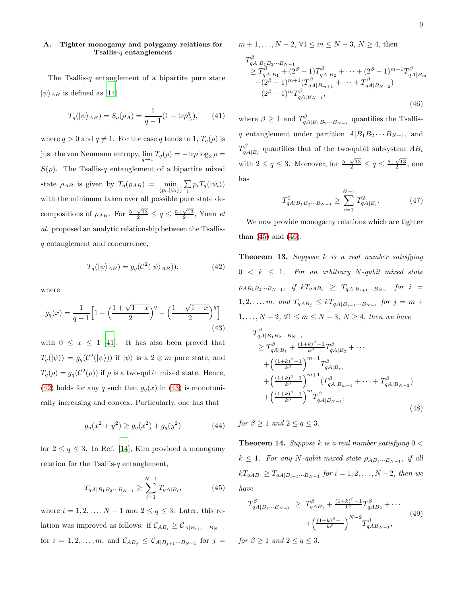## A. Tighter monogamy and polygamy relations for Tsallis-q entanglement

The Tsallis- $q$  entanglement of a bipartite pure state  $|\psi\rangle_{AB}$  is defined as [\[14\]](#page-12-9)

$$
T_q(|\psi\rangle_{AB}) = S_q(\rho_A) = \frac{1}{q-1}(1 - \text{tr}\rho_A^q), \qquad (41)
$$

where  $q > 0$  and  $q \neq 1$ . For the case q tends to 1,  $T_q(\rho)$  is just the von Neumann entropy,  $\lim_{q \to 1} T_q(\rho) = -\text{tr}\rho \log_2 \rho =$  $S(\rho)$ . The Tsallis-q entanglement of a bipartite mixed state  $\rho_{AB}$  is given by  $T_q(\rho_{AB}) = \min_{\{p_i, |\psi_i\rangle\}}$  $\sum$  $\sum_i p_i T_q(|\psi_i\rangle)$ with the minimum taken over all possible pure state decompositions of  $\rho_{AB}$ . For  $\frac{5-\sqrt{13}}{2} \le q \le \frac{5+\sqrt{13}}{2}$ , Yuan et al. proposed an analytic relationship between the Tsallisq entanglement and concurrence,

<span id="page-8-0"></span>
$$
T_q(\vert \psi \rangle_{AB}) = g_q(\mathcal{C}^2(\vert \psi \rangle_{AB})),\tag{42}
$$

where

<span id="page-8-1"></span>
$$
g_q(x) = \frac{1}{q-1} \Big[ 1 - \left( \frac{1+\sqrt{1-x}}{2} \right)^q - \left( \frac{1-\sqrt{1-x}}{2} \right)^q \Big] \tag{43}
$$

with  $0 \leq x \leq 1$  [\[41](#page-13-11)]. It has also been proved that  $T_q(\ket{\psi}) = g_q(\mathcal{C}^2(\ket{\psi}))$  if  $\ket{\psi}$  is a  $2 \otimes m$  pure state, and  $T_q(\rho) = g_q(\mathcal{C}^2(\rho))$  if  $\rho$  is a two-qubit mixed state. Hence, [\(42\)](#page-8-0) holds for any q such that  $g_q(x)$  in [\(43\)](#page-8-1) is monotonically increasing and convex. Particularly, one has that

$$
g_q(x^2 + y^2) \ge g_q(x^2) + g_q(y^2)
$$
 (44)

for  $2 \le q \le 3$ . In Ref. [\[14](#page-12-9)], Kim provided a monogamy relation for the Tsallis- $q$  entanglement,

<span id="page-8-2"></span>
$$
T_{qA|B_1B_2\cdots B_{N-1}} \ge \sum_{i=1}^{N-1} T_{qA|B_i},
$$
\n(45)

where  $i = 1, 2, \ldots, N - 1$  and  $2 \le q \le 3$ . Later, this relation was improved as follows: if  $\mathcal{C}_{AB_i} \geq \mathcal{C}_{A|B_{i+1}\cdots B_{N-1}}$ for  $i = 1, 2, \ldots, m$ , and  $\mathcal{C}_{AB_j} \leq \mathcal{C}_{A|B_{j+1}\cdots B_{N-1}}$  for  $j =$   $m+1, \ldots, N-2, \forall 1 \leq m \leq N-3, N \geq 4$ , then  $T_a^\beta$ 

<span id="page-8-3"></span>
$$
{}_{qA|B_1B_2\cdots B_{N-1}}^{qA|B_1B_2\cdots B_{N-1}} \ge T^{\beta}_{qA|B_1} + (2^{\beta} - 1)T^{\beta}_{qA|B_2} + \cdots + (2^{\beta} - 1)^{m-1}T^{\beta}_{qA|B_m} + (2^{\beta} - 1)^{m+1}(T^{\beta}_{qA|B_{m+1}} + \cdots + T^{\beta}_{qA|B_{N-2}}) + (2^{\beta} - 1)^{m}T^{\beta}_{qA|B_{N-1}},
$$
\n(46)

where  $\beta \geq 1$  and  $T_{q}^{\beta}$  $_{qA|B_1B_2\cdots B_{N-1}}$  quantifies the Tsallisq entanglement under partition  $A|B_1B_2\cdots B_{N-1}$ , and  $T_a^\beta$  $q_{A|B_i}^{p}$  quantifies that of the two-qubit subsystem  $AB_i$ with  $2 \le q \le 3$ . Moreover, for  $\frac{5-\sqrt{13}}{2} \le q \le \frac{5+\sqrt{13}}{2}$ , one has

$$
T_{qA|B_1B_2\cdots B_{N-1}}^2 \ge \sum_{i=1}^{N-1} T_{qA|B_i}^2.
$$
 (47)

We now provide monogamy relations which are tighter than  $(45)$  and  $(46)$ .

**Theorem 13.** Suppose  $k$  is a real number satisfying  $0 < k \leq 1$ . For an arbitrary N-qubit mixed state  $\rho_{AB_1B_2\cdots B_{N-1}},$  if  $kT_{qAB_i} \geq T_{qA|B_{i+1}\cdots B_{N-1}}$  for  $i =$  $1, 2, \ldots, m$ , and  $T_{qAB_j} \leq kT_{qA|B_{j+1}\cdots B_{N-1}}$  for  $j = m +$  $1, \ldots, N-2, \forall 1 \leq m \leq N-3, N \geq 4, \text{ then we have}$ 

$$
T_{qA|B_1B_2\cdots B_{N-1}}^{\beta}
$$
  
\n
$$
\geq T_{qA|B_1}^{\beta} + \frac{(1+k)^{\beta}-1}{k^{\beta}} T_{qA|B_2}^{\beta} + \cdots
$$
  
\n
$$
+ \left(\frac{(1+k)^{\beta}-1}{k^{\beta}}\right)^{m-1} T_{qA|B_m}^{\beta}
$$
  
\n
$$
+ \left(\frac{(1+k)^{\beta}-1}{k^{\beta}}\right)^{m+1} (T_{qA|B_{m+1}}^{\beta} + \cdots + T_{qA|B_{N-2}}^{\beta})
$$
  
\n
$$
+ \left(\frac{(1+k)^{\beta}-1}{k^{\beta}}\right)^{m} T_{qA|B_{N-1}}^{\beta},
$$
\n(48)

for  $\beta \geq 1$  and  $2 \leq q \leq 3$ .

**Theorem 14.** Suppose k is a real number satisfying  $0 <$  $k \leq 1$ . For any N-qubit mixed state  $\rho_{AB_1\cdots B_{N-1}}$ , if all  $kT_{qAB_i} \ge T_{qA|B_{i+1}...B_{N-1}}$  for  $i = 1, 2, ..., N-2$ , then we have

$$
T_{qA|B_1\cdots B_{N-1}}^{\beta} \ge T_{qAB_1}^{\beta} + \frac{(1+k)^{\beta}-1}{k^{\beta}} T_{qAB_2}^{\beta} + \cdots
$$
  
+ 
$$
\left(\frac{(1+k)^{\beta}-1}{k^{\beta}}\right)^{N-2} T_{qAB_{N-1}}^{\beta},
$$
 (49)

for  $\beta > 1$  and  $2 \le q \le 3$ .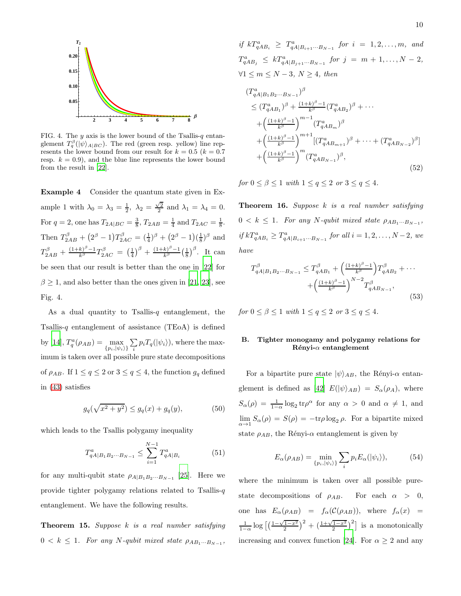

FIG. 4. The y axis is the lower bound of the Tsallis- $q$  entanglement  $T_q^{\beta}(|\psi\rangle_{A|BC})$ . The red (green resp. yellow) line represents the lower bound from our result for  $k = 0.5$  ( $k = 0.7$ ) resp.  $k = 0.9$ , and the blue line represents the lower bound from the result in [\[22\]](#page-12-12).

Example 4 Consider the quantum state given in Example 1 with  $\lambda_0 = \lambda_3 = \frac{1}{2}$ ,  $\lambda_2 = \frac{\sqrt{2}}{2}$  and  $\lambda_1 = \lambda_4 = 0$ . For  $q = 2$ , one has  $T_{2A|BC} = \frac{3}{8}$ ,  $T_{2AB} = \frac{1}{4}$  and  $T_{2AC} = \frac{1}{8}$ . Then  $T_{2AB}^{\beta} + (2^{\beta} - 1)T_{2AC}^{\beta} = (\frac{1}{4})^{\beta} + (2^{\beta} - 1)(\frac{1}{8})^{\beta}$  and  $T_{2AB}^{\beta} + \frac{(1+k)^{\beta}-1}{k^{\beta}} T_{2AC}^{\beta} = \left(\frac{1}{4}\right)^{\beta} + \frac{(1+k)^{\beta}-1}{k^{\beta}} \left(\frac{1}{8}\right)^{\beta}$ . It can be seen that our result is better than the one in [\[22\]](#page-12-12) for  $\beta \geq 1$ , and also better than the ones given in [\[21](#page-12-11), [23\]](#page-12-13), see Fig. 4.

As a dual quantity to Tsallis-q entanglement, the Tsallis-q entanglement of assistance (TEoA) is defined by [\[14\]](#page-12-9),  $T_q^a(\rho_{AB}) = \max_{\{p_i, |\psi_i\rangle\}}$  $\sum$  $\sum_i p_i T_q(|\psi_i\rangle)$ , where the maximum is taken over all possible pure state decompositions of  $\rho_{AB}$ . If  $1 \le q \le 2$  or  $3 \le q \le 4$ , the function  $g_q$  defined in [\(43\)](#page-8-1) satisfies

$$
g_q(\sqrt{x^2 + y^2}) \le g_q(x) + g_q(y), \tag{50}
$$

which leads to the Tsallis polygamy inequality

$$
T_{qA|B_1B_2\cdots B_{N-1}}^a \le \sum_{i=1}^{N-1} T_{qA|B_i}^a \tag{51}
$$

for any multi-qubit state  $\rho_{A|B_1B_2\cdots B_{N-1}}$  [\[25](#page-12-17)]. Here we provide tighter polygamy relations related to Tsallis-q entanglement. We have the following results.

**Theorem 15.** Suppose  $k$  is a real number satisfying  $0 < k \leq 1$ . For any N-qubit mixed state  $\rho_{AB_1\cdots B_{N-1}}$ ,

if  $kT_{qAB_i}^a \geq T_{qA|B_{i+1}\cdots B_{N-1}}^a$  for  $i = 1, 2, ..., m$ , and  $T^a_{qAB_j} \leq kT^a_{qA|B_{j+1}\cdots B_{N-1}}$  for  $j = m+1,\ldots,N-2$ ,  $\forall 1 \leq m \leq N-3, N \geq 4, \text{ then}$ 

$$
(T_{qA|B_1B_2\cdots B_{N-1}}^a)^\beta
$$
  
\n
$$
\leq (T_{qAB_1}^a)^\beta + \frac{(1+k)^\beta - 1}{k^\beta} (T_{qAB_2}^a)^\beta + \cdots
$$
  
\n
$$
+ \left(\frac{(1+k)^\beta - 1}{k^\beta}\right)^{m-1} (T_{qAB_m}^a)^\beta
$$
  
\n
$$
+ \left(\frac{(1+k)^\beta - 1}{k^\beta}\right)^{m+1} [(T_{qAB_{m+1}}^a)^\beta + \cdots + (T_{qAB_{N-2}}^a)^\beta]
$$
  
\n
$$
+ \left(\frac{(1+k)^\beta - 1}{k^\beta}\right)^m (T_{qAB_{N-1}}^a)^\beta,
$$
  
\n(52)

for  $0 \leq \beta \leq 1$  with  $1 \leq q \leq 2$  or  $3 \leq q \leq 4$ .

**Theorem 16.** Suppose  $k$  is a real number satisfying  $0 < k \leq 1$ . For any N-qubit mixed state  $\rho_{AB_1...B_{N-1}}$ , if  $kT_{qAB_i}^a \geq T_{qA|B_{i+1}\cdots B_{N-1}}^a$  for all  $i = 1, 2, ..., N-2$ , we have

$$
T_{qA|B_1B_2\cdots B_{N-1}}^{\beta} \le T_{qAB_1}^{\beta} + \left(\frac{(1+k)^{\beta}-1}{k^{\beta}}\right) T_{qAB_2}^{\beta} + \cdots + \left(\frac{(1+k)^{\beta}-1}{k^{\beta}}\right)^{N-2} T_{qAB_{N-1}}^{\beta},
$$
\n(53)

for  $0 \leq \beta \leq 1$  with  $1 \leq q \leq 2$  or  $3 \leq q \leq 4$ .

# B. Tighter monogamy and polygamy relations for Rényi- $\alpha$  entanglement

For a bipartite pure state  $|\psi\rangle_{AB}$ , the Rényi- $\alpha$  entan-glement is defined as [\[42\]](#page-13-12)  $E(|\psi\rangle_{AB}) = S_{\alpha}(\rho_A)$ , where  $S_{\alpha}(\rho) = \frac{1}{1-\alpha} \log_2 \text{tr}\rho^{\alpha}$  for any  $\alpha > 0$  and  $\alpha \neq 1$ , and  $\lim_{\alpha \to 1} S_{\alpha}(\rho) = S(\rho) = -\text{tr}\rho \log_2 \rho$ . For a bipartite mixed state  $\rho_{AB}$ , the Rényi- $\alpha$  entanglement is given by

$$
E_{\alpha}(\rho_{AB}) = \min_{\{p_i, |\psi_i\rangle\}} \sum_{i} p_i E_{\alpha}(|\psi_i\rangle), \tag{54}
$$

where the minimum is taken over all possible purestate decompositions of  $\rho_{AB}$ . For each  $\alpha > 0$ , one has  $E_{\alpha}(\rho_{AB}) = f_{\alpha}(\mathcal{C}(\rho_{AB}))$ , where  $f_{\alpha}(x)$  $\frac{1}{1-\alpha}\log\left[\left(\frac{1-\sqrt{1-x^2}}{2}\right)^2+\left(\frac{1+\sqrt{1-x^2}}{2}\right)^2\right]$  is a monotonically increasing and convex function [\[24\]](#page-12-14). For  $\alpha \geq 2$  and any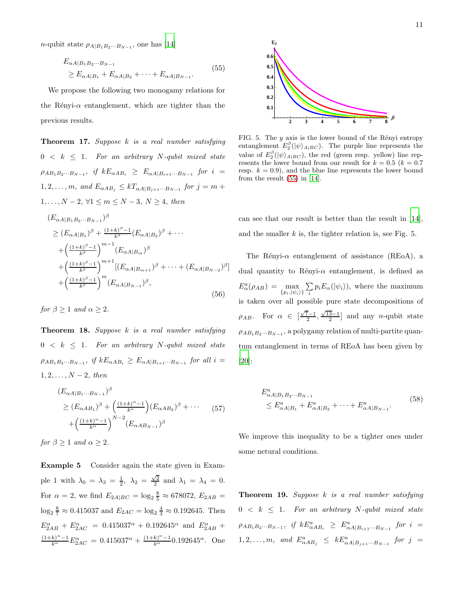*n*-qubit state  $\rho_{A|B_1B_2\cdots B_{N-1}}$ , one has [\[14\]](#page-12-9)

<span id="page-10-0"></span>
$$
E_{\alpha A|B_1 B_2 \cdots B_{N-1}}\ge E_{\alpha A|B_1} + E_{\alpha A|B_2} + \cdots + E_{\alpha A|B_{N-1}}.
$$
\n(55)

We propose the following two monogamy relations for the Rényi- $\alpha$  entanglement, which are tighter than the previous results.

**Theorem 17.** Suppose  $k$  is a real number satisfying  $0 \leq k \leq 1$ . For an arbitrary N-qubit mixed state  $\rho_{AB_1B_2\cdots B_{N-1}},$  if  $kE_{\alpha AB_i} \ge E_{\alpha A|B_{i+1}\cdots B_{N-1}}$  for  $i =$  $1, 2, \ldots, m$ , and  $E_{\alpha AB_j} \leq kT_{\alpha A|B_{j+1}\cdots B_{N-1}}$  for  $j = m + 1$  $1, \ldots, N-2, \forall 1 \leq m \leq N-3, N \geq 4, \text{ then}$ 

$$
(E_{\alpha A|B_1 B_2 \cdots B_{N-1}})^{\beta}
$$
  
\n
$$
\ge (E_{\alpha A|B_1})^{\beta} + \frac{(1+k)^{\beta}-1}{k^{\beta}} (E_{\alpha A|B_2})^{\beta} + \cdots
$$
  
\n
$$
+ \left(\frac{(1+k)^{\beta}-1}{k^{\beta}}\right)^{m-1} (E_{\alpha A|B_m})^{\beta}
$$
  
\n
$$
+ \left(\frac{(1+k)^{\beta}-1}{k^{\beta}}\right)^{m+1} [(E_{\alpha A|B_{m+1}})^{\beta} + \cdots + (E_{\alpha A|B_{N-2}})^{\beta}]
$$
  
\n
$$
+ \left(\frac{(1+k)^{\beta}-1}{k^{\beta}}\right)^m (E_{\alpha A|B_{N-1}})^{\beta},
$$
\n(56)

for  $\beta > 1$  and  $\alpha > 2$ .

**Theorem 18.** Suppose  $k$  is a real number satisfying  $0 \leq k \leq 1$ . For an arbitrary N-qubit mixed state  $\rho_{AB_1B_2\cdots B_{N-1}}$ , if  $kE_{\alpha AB_i} \ge E_{\alpha A|B_{i+1}\cdots B_{N-1}}$  for all  $i=$  $1, 2, \ldots, N-2, \text{ then}$ 

$$
(E_{\alpha A|B_1\cdots B_{N-1}})^\beta
$$
  
\n
$$
\ge (E_{\alpha AB_1})^\beta + \left(\frac{(1+k)^\alpha - 1}{k^\alpha}\right)(E_{\alpha AB_2})^\beta + \cdots
$$
  
\n
$$
+ \left(\frac{(1+k)^\alpha - 1}{k^\alpha}\right)^{N-2} (E_{\alpha AB_{N-1}})^\beta
$$
 (57)

for  $\beta \geq 1$  and  $\alpha \geq 2$ .

Example 5 Consider again the state given in Example 1 with  $\lambda_0 = \lambda_3 = \frac{1}{2}$ ,  $\lambda_2 = \frac{\sqrt{2}}{2}$  and  $\lambda_1 = \lambda_4 = 0$ . For  $\alpha = 2$ , we find  $E_{2A|BC} = \log_2 \frac{8}{5} \approx 678072$ ,  $E_{2AB} =$  $\log_2 \frac{8}{7} \approx 0.415037$  and  $E_{2AC} = \log_2 \frac{4}{3} \approx 0.192645$ . Then  $E_{2AB}^{\alpha} + E_{2AC}^{\alpha} = 0.415037^{\alpha} + 0.192645^{\alpha}$  and  $E_{2AB}^{\alpha}$  +  $\frac{(1+k)^{\alpha}-1}{k^{\alpha}}E_{2AC}^{\alpha} = 0.415037^{\alpha} + \frac{(1+k)^{\alpha}-1}{k^{\alpha}}0.192645^{\alpha}$ . One



FIG. 5. The  $y$  axis is the lower bound of the Rényi entropy entanglement  $E_2^{\beta}(|\psi\rangle_{A|BC})$ . The purple line represents the value of  $E_2^{\beta}(|\psi\rangle_{A|BC})$ , the red (green resp. yellow) line represents the lower bound from our result for  $k = 0.5$  ( $k = 0.7$ ) resp.  $k = 0.9$ , and the blue line represents the lower bound from the result [\(55\)](#page-10-0) in [\[14](#page-12-9)].

can see that our result is better than the result in [\[14\]](#page-12-9), and the smaller  $k$  is, the tighter relation is, see Fig. 5.

The Rényi- $\alpha$  entanglement of assistance (REoA), a dual quantity to Rényi- $\alpha$  entanglement, is defined as  $E^a_\alpha(\rho_{AB}) = \max_{\{p_i, |\psi_i\rangle\}}$  $\sum$  $\sum_{i} p_i E_{\alpha}(|\psi_i\rangle)$ , where the maximum is taken over all possible pure state decompositions of  $\rho_{AB}$ . For  $\alpha \in \left[\frac{\sqrt{7}-1}{2}, \frac{\sqrt{13}-1}{2}\right]$  and any *n*-qubit state  $\rho_{AB_1B_2\cdots B_{N-1}}$ , a polygamy relation of multi-partite quantum entanglement in terms of REoA has been given by [\[20\]](#page-12-10):

$$
E^{a}_{\alpha A|B_1 B_2 \cdots B_{N-1}}\leq E^{a}_{\alpha A|B_1} + E^{a}_{\alpha A|B_2} + \cdots + E^{a}_{\alpha A|B_{N-1}}.
$$
\n(58)

We improve this inequality to be a tighter ones under some netural conditions.

**Theorem 19.** Suppose  $k$  is a real number satisfying  $0 \leq k \leq 1$ . For an arbitrary N-qubit mixed state  $\rho_{AB_1B_2\cdots B_{N-1}},$  if  $kE^a_{\alpha AB_i} \geq E^a_{\alpha A|B_{i+1}\cdots B_{N-1}}$  for  $i =$ 1, 2, ..., m, and  $E^a_{\alpha AB_j} \leq kE^a_{\alpha A|B_{j+1}\cdots B_{N-1}}$  for  $j =$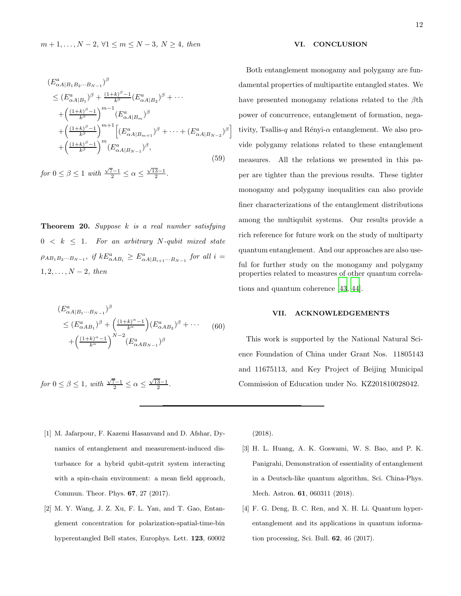$$
(E^{a}_{\alpha A|B_1B_2\cdots B_{N-1}})^{\beta}
$$
  
\n
$$
\leq (E^{a}_{\alpha A|B_1})^{\beta} + \frac{(1+k)^{\beta}-1}{k^{\beta}} (E^{a}_{\alpha A|B_2})^{\beta} + \cdots
$$
  
\n
$$
+ \left(\frac{(1+k)^{\beta}-1}{k^{\beta}}\right)^{m-1} (E^{a}_{\alpha A|B_m})^{\beta}
$$
  
\n
$$
+ \left(\frac{(1+k)^{\beta}-1}{k^{\beta}}\right)^{m+1} \left[ (E^{a}_{\alpha A|B_{m+1}})^{\beta} + \cdots + (E^{a}_{\alpha A|B_{N-2}})^{\beta}
$$
  
\n
$$
+ \left(\frac{(1+k)^{\beta}-1}{k^{\beta}}\right)^m (E^{a}_{\alpha A|B_{N-1}})^{\beta}, \qquad (59)
$$

for  $0 \le \beta \le 1$  with  $\frac{\sqrt{7}-1}{2} \le \alpha \le \frac{\sqrt{13}-1}{2}$ .

**Theorem 20.** Suppose  $k$  is a real number satisfying  $0 \leq k \leq 1$ . For an arbitrary N-qubit mixed state  $\rho_{AB_1B_2\cdots B_{N-1}}$ , if  $kE^a_{\alpha AB_i} \geq E^a_{\alpha A|B_{i+1}\cdots B_{N-1}}$  for all  $i =$  $1, 2, \ldots, N-2, \text{ then}$ 

$$
(E^a_{\alpha A|B_1\cdots B_{N-1}})^\beta
$$
  
\n
$$
\leq (E^a_{\alpha AB_1})^\beta + \left(\frac{(1+k)^\alpha - 1}{k^\alpha}\right) (E^a_{\alpha AB_2})^\beta + \cdots
$$
 (60)  
\n
$$
+ \left(\frac{(1+k)^\alpha - 1}{k^\alpha}\right)^{N-2} (E^a_{\alpha AB_{N-1}})^\beta
$$

for  $0 \leq \beta \leq 1$ , with  $\frac{\sqrt{7}-1}{2} \leq \alpha \leq \frac{\sqrt{13}-1}{2}$ .

- <span id="page-11-0"></span>[1] M. Jafarpour, F. Kazemi Hasanvand and D. Afshar, Dynamics of entanglement and measurement-induced disturbance for a hybrid qubit-qutrit system interacting with a spin-chain environment: a mean field approach, Commun. Theor. Phys. 67, 27 (2017).
- [2] M. Y. Wang, J. Z. Xu, F. L. Yan, and T. Gao, Entanglement concentration for polarization-spatial-time-bin hyperentangled Bell states, Europhys. Lett. 123, 60002

#### VI. CONCLUSION

Both entanglement monogamy and polygamy are fundamental properties of multipartite entangled states. We have presented monogamy relations related to the  $\beta$ th power of concurrence, entanglement of formation, negativity, Tsallis-q and Rényi- $\alpha$  entanglement. We also provide polygamy relations related to these entanglement measures. All the relations we presented in this paper are tighter than the previous results. These tighter monogamy and polygamy inequalities can also provide finer characterizations of the entanglement distributions among the multiqubit systems. Our results provide a rich reference for future work on the study of multiparty quantum entanglement. And our approaches are also useful for further study on the monogamy and polygamy properties related to measures of other quantum correlations and quantum coherence [\[43](#page-13-13), [44\]](#page-13-14).

## VII. ACKNOWLEDGEMENTS

This work is supported by the National Natural Science Foundation of China under Grant Nos. 11805143 and 11675113, and Key Project of Beijing Municipal Commission of Education under No. KZ201810028042.

(2018).

i

- [3] H. L. Huang, A. K. Goswami, W. S. Bao, and P. K. Panigrahi, Demonstration of essentiality of entanglement in a Deutsch-like quantum algorithm, Sci. China-Phys. Mech. Astron. 61, 060311 (2018).
- <span id="page-11-1"></span>[4] F. G. Deng, B. C. Ren, and X. H. Li. Quantum hyperentanglement and its applications in quantum information processing, Sci. Bull. 62, 46 (2017).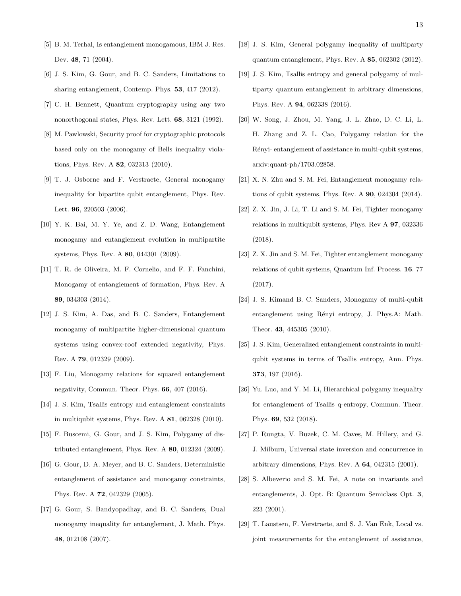- <span id="page-12-0"></span>[5] B. M. Terhal, Is entanglement monogamous, IBM J. Res. Dev. 48, 71 (2004).
- <span id="page-12-1"></span>[6] J. S. Kim, G. Gour, and B. C. Sanders, Limitations to sharing entanglement, Contemp. Phys. 53, 417 (2012).
- <span id="page-12-2"></span>[7] C. H. Bennett, Quantum cryptography using any two nonorthogonal states, Phys. Rev. Lett. 68, 3121 (1992).
- <span id="page-12-3"></span>[8] M. Pawlowski, Security proof for cryptographic protocols based only on the monogamy of Bells inequality violations, Phys. Rev. A 82, 032313 (2010).
- <span id="page-12-4"></span>[9] T. J. Osborne and F. Verstraete, General monogamy inequality for bipartite qubit entanglement, Phys. Rev. Lett. **96**, 220503 (2006).
- <span id="page-12-5"></span>[10] Y. K. Bai, M. Y. Ye, and Z. D. Wang, Entanglement monogamy and entanglement evolution in multipartite systems, Phys. Rev. A 80, 044301 (2009).
- <span id="page-12-6"></span>[11] T. R. de Oliveira, M. F. Cornelio, and F. F. Fanchini, Monogamy of entanglement of formation, Phys. Rev. A 89, 034303 (2014).
- <span id="page-12-7"></span>[12] J. S. Kim, A. Das, and B. C. Sanders, Entanglement monogamy of multipartite higher-dimensional quantum systems using convex-roof extended negativity, Phys. Rev. A 79, 012329 (2009).
- <span id="page-12-8"></span>[13] F. Liu, Monogamy relations for squared entanglement negativity, Commun. Theor. Phys. 66, 407 (2016).
- <span id="page-12-9"></span>[14] J. S. Kim, Tsallis entropy and entanglement constraints in multiqubit systems, Phys. Rev. A 81, 062328 (2010).
- [15] F. Buscemi, G. Gour, and J. S. Kim, Polygamy of distributed entanglement, Phys. Rev. A 80, 012324 (2009).
- <span id="page-12-15"></span>[16] G. Gour, D. A. Meyer, and B. C. Sanders, Deterministic entanglement of assistance and monogamy constraints, Phys. Rev. A 72, 042329 (2005).
- <span id="page-12-22"></span>[17] G. Gour, S. Bandyopadhay, and B. C. Sanders, Dual monogamy inequality for entanglement, J. Math. Phys. 48, 012108 (2007).
- <span id="page-12-16"></span>[18] J. S. Kim, General polygamy inequality of multiparty quantum entanglement, Phys. Rev. A 85, 062302 (2012).
- [19] J. S. Kim, Tsallis entropy and general polygamy of multiparty quantum entanglement in arbitrary dimensions, Phys. Rev. A 94, 062338 (2016).
- <span id="page-12-10"></span>[20] W. Song, J. Zhou, M. Yang, J. L. Zhao, D. C. Li, L. H. Zhang and Z. L. Cao, Polygamy relation for the Rényi- entanglement of assistance in multi-qubit systems, arxiv:quant-ph/1703.02858.
- <span id="page-12-11"></span>[21] X. N. Zhu and S. M. Fei, Entanglement monogamy relations of qubit systems, Phys. Rev. A 90, 024304 (2014).
- <span id="page-12-12"></span>[22] Z. X. Jin, J. Li, T. Li and S. M. Fei, Tighter monogamy relations in multiqubit systems, Phys. Rev A 97, 032336 (2018).
- <span id="page-12-13"></span>[23] Z. X. Jin and S. M. Fei, Tighter entanglement monogamy relations of qubit systems, Quantum Inf. Process. 16. 77 (2017).
- <span id="page-12-14"></span>[24] J. S. Kimand B. C. Sanders, Monogamy of multi-qubit entanglement using Rényi entropy, J. Phys.A: Math. Theor. 43, 445305 (2010).
- <span id="page-12-17"></span>[25] J. S. Kim, Generalized entanglement constraints in multiqubit systems in terms of Tsallis entropy, Ann. Phys. 373, 197 (2016).
- <span id="page-12-18"></span>[26] Yu. Luo, and Y. M. Li, Hierarchical polygamy inequality for entanglement of Tsallis q-entropy, Commun. Theor. Phys. 69, 532 (2018).
- <span id="page-12-19"></span>[27] P. Rungta, V. Buzek, C. M. Caves, M. Hillery, and G. J. Milburn, Universal state inversion and concurrence in arbitrary dimensions, Phys. Rev. A 64, 042315 (2001).
- <span id="page-12-20"></span>[28] S. Albeverio and S. M. Fei, A note on invariants and entanglements, J. Opt. B: Quantum Semiclass Opt. 3, 223 (2001).
- <span id="page-12-21"></span>[29] T. Laustsen, F. Verstraete, and S. J. Van Enk, Local vs. joint measurements for the entanglement of assistance,